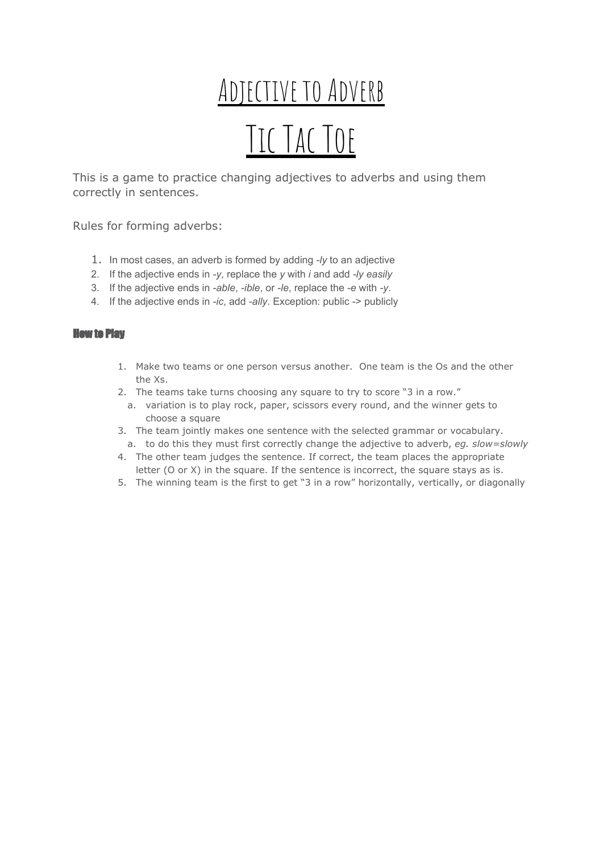## ADJECTIVE TO ADVERB TIC TAC TOF

This is a game to practice changing adjectives to adverbs and using them correctly in sentences.

Rules for forming adverbs:

- 1. In most cases, an adverb is formed by adding *-ly* to an adjective
- 2. If the adjective ends in *-y*, replace the *y* with *i* and add *-ly easily*
- 3. If the adjective ends in *-able*, *-ible*, or *-le*, replace the *-e* with *-y*.
- 4. If the adjective ends in *-ic*, add *-ally*. Exception: public -> publicly

## How to Play

- 1. Make two teams or one person versus another. One team is the Os and the other the Xs.
- 2. The teams take turns choosing any square to try to score "3 in a row."
- a. variation is to play rock, paper, scissors every round, and the winner gets to choose a square
- 3. The team jointly makes one sentence with the selected grammar or vocabulary. a. to do this they must first correctly change the adjective to adverb, *eg. slow=slowly*
- 4. The other team judges the sentence. If correct, the team places the appropriate letter (O or X) in the square. If the sentence is incorrect, the square stays as is.
- 5. The winning team is the first to get "3 in a row" horizontally, vertically, or diagonally